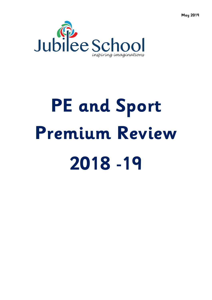



# **PE and Sport Premium Review 2018 -19**